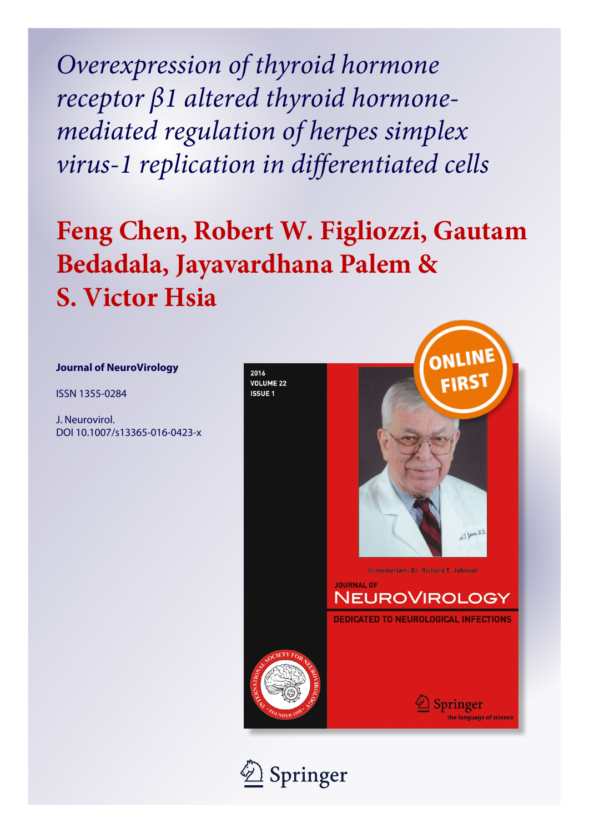Overexpression of thyroid hormone receptor β1 altered thyroid hormonemediated regulation of herpes simplex virus-1 replication in differentiated cells

# Feng Chen, Robert W. Figliozzi, Gautam Bedadala, Jayavardhana Palem & S. Victor Hsia

### Journal of NeuroVirology

ISSN 1355-0284

J. Neurovirol. DOI 10.1007/s13365-016-0423-x



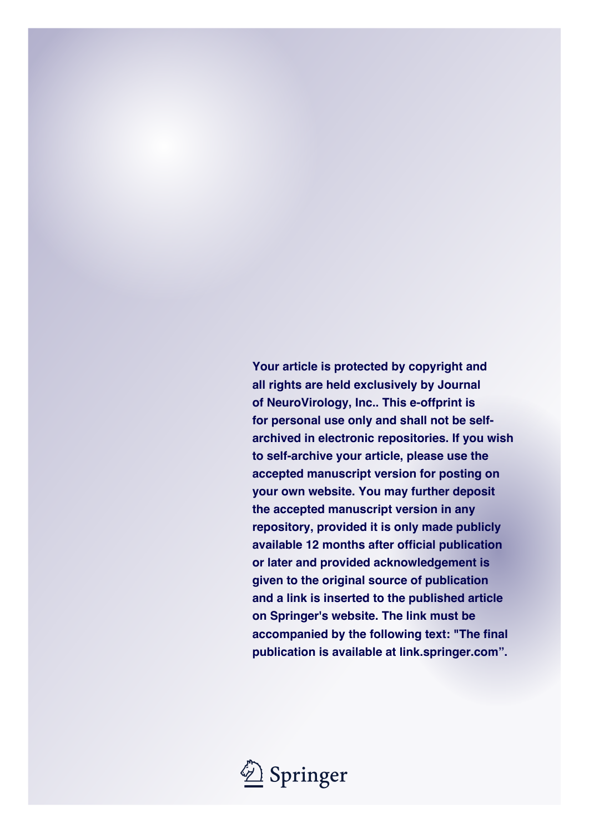**Your article is protected by copyright and all rights are held exclusively by Journal of NeuroVirology, Inc.. This e-offprint is for personal use only and shall not be selfarchived in electronic repositories. If you wish to self-archive your article, please use the accepted manuscript version for posting on your own website. You may further deposit the accepted manuscript version in any repository, provided it is only made publicly available 12 months after official publication or later and provided acknowledgement is given to the original source of publication and a link is inserted to the published article on Springer's website. The link must be accompanied by the following text: "The final publication is available at link.springer.com".**

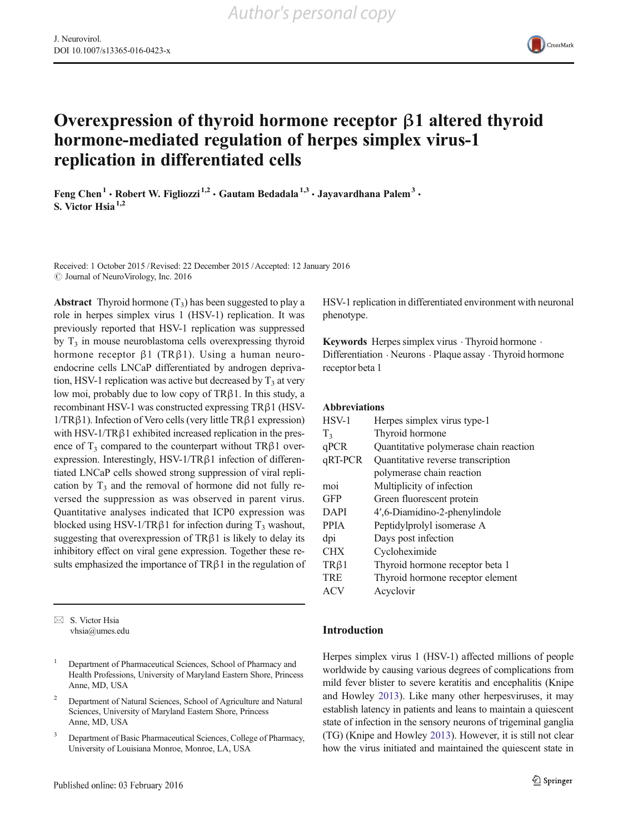

## Overexpression of thyroid hormone receptor β1 altered thyroid hormone-mediated regulation of herpes simplex virus-1 replication in differentiated cells

Feng Chen<sup>1</sup> • Robert W. Figliozzi<sup>1,2</sup> • Gautam Bedadala<sup>1,3</sup> • Jayavardhana Palem<sup>3</sup> • S. Victor  $H$ sia $^{1,2}$ 

Received: 1 October 2015 /Revised: 22 December 2015 /Accepted: 12 January 2016  $\odot$  Journal of NeuroVirology, Inc. 2016

**Abstract** Thyroid hormone  $(T_3)$  has been suggested to play a role in herpes simplex virus 1 (HSV-1) replication. It was previously reported that HSV-1 replication was suppressed by  $T_3$  in mouse neuroblastoma cells overexpressing thyroid hormone receptor β1 (TRβ1). Using a human neuroendocrine cells LNCaP differentiated by androgen deprivation, HSV-1 replication was active but decreased by  $T_3$  at very low moi, probably due to low copy of TRβ1. In this study, a recombinant HSV-1 was constructed expressing TRβ1 (HSV-1/TRβ1). Infection of Vero cells (very little TRβ1 expression) with HSV-1/TR $\beta$ 1 exhibited increased replication in the presence of  $T_3$  compared to the counterpart without TR $\beta$ 1 overexpression. Interestingly, HSV-1/TRβ1 infection of differentiated LNCaP cells showed strong suppression of viral replication by  $T_3$  and the removal of hormone did not fully reversed the suppression as was observed in parent virus. Quantitative analyses indicated that ICP0 expression was blocked using HSV-1/TR $\beta$ 1 for infection during T<sub>3</sub> washout, suggesting that overexpression of  $TR\beta1$  is likely to delay its inhibitory effect on viral gene expression. Together these results emphasized the importance of  $TR\beta1$  in the regulation of

 $\boxtimes$  S. Victor Hsia vhsia@umes.edu HSV-1 replication in differentiated environment with neuronal phenotype.

Keywords Herpes simplex virus  $\cdot$  Thyroid hormone  $\cdot$ Differentiation . Neurons . Plaque assay . Thyroid hormone receptor beta 1

#### Abbreviations

| $HSV-1$        | Herpes simplex virus type-1            |
|----------------|----------------------------------------|
| T <sub>3</sub> | Thyroid hormone                        |
| qPCR           | Quantitative polymerase chain reaction |
| qRT-PCR        | Quantitative reverse transcription     |
|                | polymerase chain reaction              |
| moi            | Multiplicity of infection              |
| <b>GFP</b>     | Green fluorescent protein              |
| <b>DAPI</b>    | 4',6-Diamidino-2-phenylindole          |
| <b>PPIA</b>    | Peptidylprolyl isomerase A             |
| dpi            | Days post infection                    |
| <b>CHX</b>     | Cycloheximide                          |
| $TR\beta1$     | Thyroid hormone receptor beta 1        |
| <b>TRE</b>     | Thyroid hormone receptor element       |
| ACV            | Acyclovir                              |

#### Introduction

Herpes simplex virus 1 (HSV-1) affected millions of people worldwide by causing various degrees of complications from mild fever blister to severe keratitis and encephalitis (Knipe and Howley [2013\)](#page-9-0). Like many other herpesviruses, it may establish latency in patients and leans to maintain a quiescent state of infection in the sensory neurons of trigeminal ganglia (TG) (Knipe and Howley [2013\)](#page-9-0). However, it is still not clear how the virus initiated and maintained the quiescent state in

<sup>&</sup>lt;sup>1</sup> Department of Pharmaceutical Sciences, School of Pharmacy and Health Professions, University of Maryland Eastern Shore, Princess Anne, MD, USA

<sup>2</sup> Department of Natural Sciences, School of Agriculture and Natural Sciences, University of Maryland Eastern Shore, Princess Anne, MD, USA

<sup>&</sup>lt;sup>3</sup> Department of Basic Pharmaceutical Sciences, College of Pharmacy, University of Louisiana Monroe, Monroe, LA, USA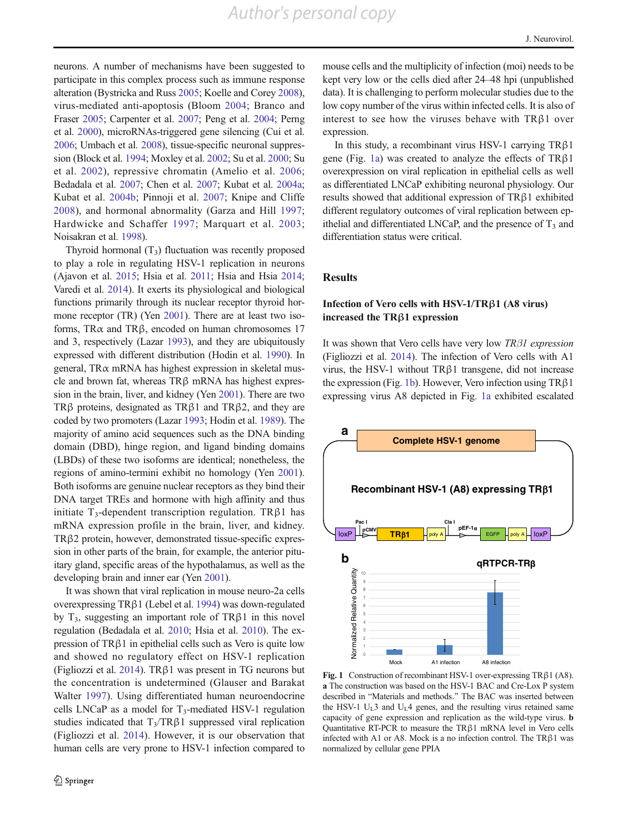*Author's personal copy*

<span id="page-3-0"></span>neurons. A number of mechanisms have been suggested to participate in this complex process such as immune response alteration (Bystricka and Russ [2005;](#page-9-0) Koelle and Corey [2008\)](#page-9-0), virus-mediated anti-apoptosis (Bloom [2004](#page-9-0); Branco and Fraser [2005](#page-9-0); Carpenter et al. [2007](#page-9-0); Peng et al. [2004](#page-10-0); Perng et al. [2000](#page-10-0)), microRNAs-triggered gene silencing (Cui et al. [2006;](#page-9-0) Umbach et al. [2008\)](#page-10-0), tissue-specific neuronal suppression (Block et al. [1994](#page-9-0); Moxley et al. [2002](#page-10-0); Su et al. [2000;](#page-10-0) Su et al. [2002\)](#page-10-0), repressive chromatin (Amelio et al. [2006](#page-9-0); Bedadala et al. [2007](#page-9-0); Chen et al. [2007](#page-9-0); Kubat et al. [2004a](#page-9-0); Kubat et al. [2004b;](#page-9-0) Pinnoji et al. [2007;](#page-10-0) Knipe and Cliffe [2008](#page-9-0)), and hormonal abnormality (Garza and Hill [1997](#page-9-0); Hardwicke and Schaffer [1997](#page-9-0); Marquart et al. [2003](#page-10-0); Noisakran et al. [1998\)](#page-10-0).

Thyroid hormonal  $(T_3)$  fluctuation was recently proposed to play a role in regulating HSV-1 replication in neurons (Ajavon et al. [2015;](#page-9-0) Hsia et al. [2011](#page-9-0); Hsia and Hsia [2014](#page-9-0); Varedi et al. [2014\)](#page-10-0). It exerts its physiological and biological functions primarily through its nuclear receptor thyroid hormone receptor (TR) (Yen [2001\)](#page-10-0). There are at least two isoforms, TR $\alpha$  and TR $\beta$ , encoded on human chromosomes 17 and 3, respectively (Lazar [1993](#page-9-0)), and they are ubiquitously expressed with different distribution (Hodin et al. [1990\)](#page-9-0). In general, TRα mRNA has highest expression in skeletal muscle and brown fat, whereas TRβ mRNA has highest expression in the brain, liver, and kidney (Yen [2001](#page-10-0)). There are two TRβ proteins, designated as TRβ1 and TRβ2, and they are coded by two promoters (Lazar [1993;](#page-9-0) Hodin et al. [1989](#page-9-0)). The majority of amino acid sequences such as the DNA binding domain (DBD), hinge region, and ligand binding domains (LBDs) of these two isoforms are identical; nonetheless, the regions of amino-termini exhibit no homology (Yen [2001\)](#page-10-0). Both isoforms are genuine nuclear receptors as they bind their DNA target TREs and hormone with high affinity and thus initiate T<sub>3</sub>-dependent transcription regulation. TRβ1 has mRNA expression profile in the brain, liver, and kidney. TRβ2 protein, however, demonstrated tissue-specific expression in other parts of the brain, for example, the anterior pituitary gland, specific areas of the hypothalamus, as well as the developing brain and inner ear (Yen [2001\)](#page-10-0).

It was shown that viral replication in mouse neuro-2a cells overexpressing TRβ1 (Lebel et al. [1994\)](#page-10-0) was down-regulated by  $T_3$ , suggesting an important role of TR $\beta$ 1 in this novel regulation (Bedadala et al. [2010;](#page-9-0) Hsia et al. [2010](#page-9-0)). The expression of TRβ1 in epithelial cells such as Vero is quite low and showed no regulatory effect on HSV-1 replication (Figliozzi et al. [2014\)](#page-9-0). TRβ1 was present in TG neurons but the concentration is undetermined (Glauser and Barakat Walter [1997](#page-9-0)). Using differentiated human neuroendocrine cells LNCaP as a model for  $T_3$ -mediated HSV-1 regulation studies indicated that  $T_3/TR\beta1$  suppressed viral replication (Figliozzi et al. [2014\)](#page-9-0). However, it is our observation that human cells are very prone to HSV-1 infection compared to

mouse cells and the multiplicity of infection (moi) needs to be kept very low or the cells died after 24–48 hpi (unpublished data). It is challenging to perform molecular studies due to the low copy number of the virus within infected cells. It is also of interest to see how the viruses behave with  $TR\beta1$  over expression.

In this study, a recombinant virus HSV-1 carrying TRβ1 gene (Fig. 1a) was created to analyze the effects of TRβ1 overexpression on viral replication in epithelial cells as well as differentiated LNCaP exhibiting neuronal physiology. Our results showed that additional expression of TRβ1 exhibited different regulatory outcomes of viral replication between epithelial and differentiated LNCaP, and the presence of  $T_3$  and differentiation status were critical.

#### **Results**

#### Infection of Vero cells with HSV-1/TRβ1 (A8 virus) increased the TRβ1 expression

It was shown that Vero cells have very low  $TR\beta1$  expression (Figliozzi et al. [2014](#page-9-0)). The infection of Vero cells with A1 virus, the HSV-1 without TRβ1 transgene, did not increase the expression (Fig. 1b). However, Vero infection using TRβ1 expressing virus A8 depicted in Fig. 1a exhibited escalated



Fig. 1 Construction of recombinant HSV-1 over-expressing TRβ1 (A8). a The construction was based on the HSV-1 BAC and Cre-Lox P system described in "Materials and methods." The BAC was inserted between the HSV-1  $U_L$ 3 and  $U_L$ 4 genes, and the resulting virus retained same capacity of gene expression and replication as the wild-type virus. b Quantitative RT-PCR to measure the TRβ1 mRNA level in Vero cells infected with A1 or A8. Mock is a no infection control. The TRβ1 was normalized by cellular gene PPIA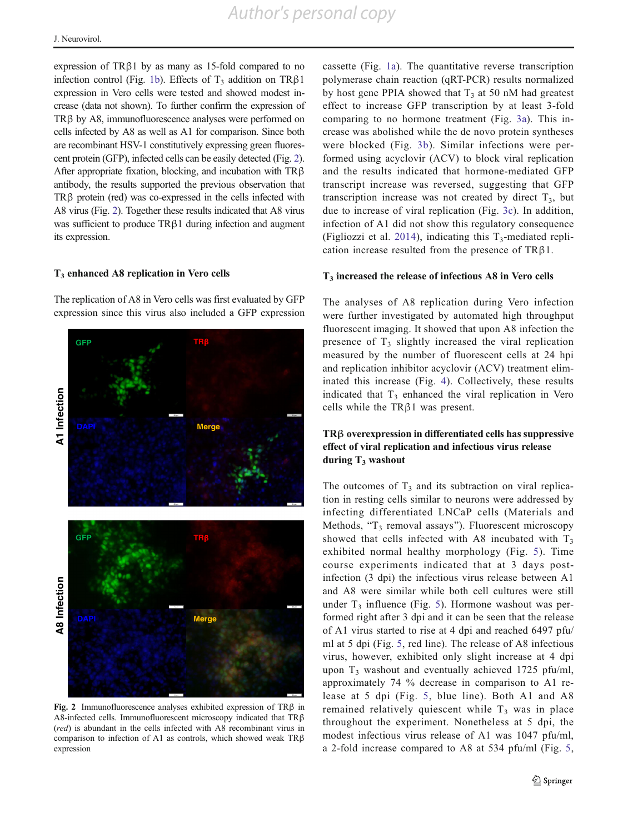<span id="page-4-0"></span>expression of TRβ1 by as many as 15-fold compared to no infection control (Fig. [1b](#page-3-0)). Effects of  $T_3$  addition on TR $\beta$ 1 expression in Vero cells were tested and showed modest increase (data not shown). To further confirm the expression of TRβ by A8, immunofluorescence analyses were performed on cells infected by A8 as well as A1 for comparison. Since both are recombinant HSV-1 constitutively expressing green fluorescent protein (GFP), infected cells can be easily detected (Fig. 2). After appropriate fixation, blocking, and incubation with TRβ antibody, the results supported the previous observation that TRβ protein (red) was co-expressed in the cells infected with A8 virus (Fig. 2). Together these results indicated that A8 virus was sufficient to produce TRβ1 during infection and augment its expression.

#### $T<sub>3</sub>$  enhanced A8 replication in Vero cells

The replication of A8 in Vero cells was first evaluated by GFP expression since this virus also included a GFP expression



Fig. 2 Immunofluorescence analyses exhibited expression of TRβ in A8-infected cells. Immunofluorescent microscopy indicated that TRβ (red) is abundant in the cells infected with A8 recombinant virus in comparison to infection of A1 as controls, which showed weak TRβ expression

cassette (Fig. [1a\)](#page-3-0). The quantitative reverse transcription polymerase chain reaction (qRT-PCR) results normalized by host gene PPIA showed that  $T_3$  at 50 nM had greatest effect to increase GFP transcription by at least 3-fold comparing to no hormone treatment (Fig. [3a\)](#page-5-0). This increase was abolished while the de novo protein syntheses were blocked (Fig. [3b\)](#page-5-0). Similar infections were performed using acyclovir (ACV) to block viral replication and the results indicated that hormone-mediated GFP transcript increase was reversed, suggesting that GFP transcription increase was not created by direct  $T_3$ , but due to increase of viral replication (Fig. [3c\)](#page-5-0). In addition, infection of A1 did not show this regulatory consequence (Figliozzi et al. [2014\)](#page-9-0), indicating this  $T_3$ -mediated replication increase resulted from the presence of  $TR\beta1$ .

#### $T<sub>3</sub>$  increased the release of infectious A8 in Vero cells

The analyses of A8 replication during Vero infection were further investigated by automated high throughput fluorescent imaging. It showed that upon A8 infection the presence of  $T_3$  slightly increased the viral replication measured by the number of fluorescent cells at 24 hpi and replication inhibitor acyclovir (ACV) treatment eliminated this increase (Fig. [4\)](#page-5-0). Collectively, these results indicated that  $T_3$  enhanced the viral replication in Vero cells while the TRβ1 was present.

#### TRβ overexpression in differentiated cells has suppressive effect of viral replication and infectious virus release during  $T_3$  washout

The outcomes of  $T_3$  and its subtraction on viral replication in resting cells similar to neurons were addressed by infecting differentiated LNCaP cells (Materials and Methods, "T<sub>3</sub> removal assays"). Fluorescent microscopy showed that cells infected with A8 incubated with  $T_3$ exhibited normal healthy morphology (Fig. [5](#page-6-0)). Time course experiments indicated that at 3 days postinfection (3 dpi) the infectious virus release between A1 and A8 were similar while both cell cultures were still under  $T_3$  influence (Fig. [5\)](#page-6-0). Hormone washout was performed right after 3 dpi and it can be seen that the release of A1 virus started to rise at 4 dpi and reached 6497 pfu/ ml at 5 dpi (Fig. [5,](#page-6-0) red line). The release of A8 infectious virus, however, exhibited only slight increase at 4 dpi upon  $T_3$  washout and eventually achieved 1725 pfu/ml, approximately 74 % decrease in comparison to A1 release at 5 dpi (Fig. [5,](#page-6-0) blue line). Both A1 and A8 remained relatively quiescent while  $T<sub>3</sub>$  was in place throughout the experiment. Nonetheless at 5 dpi, the modest infectious virus release of A1 was 1047 pfu/ml, a 2-fold increase compared to A8 at 534 pfu/ml (Fig. [5,](#page-6-0)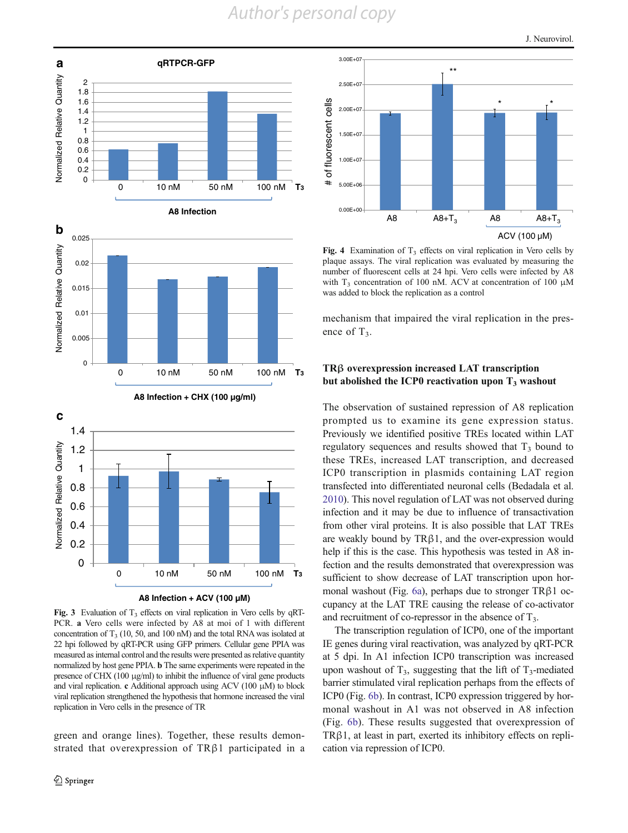*Author's personal copy*

<span id="page-5-0"></span>

**A8 Infection + ACV (100 µM)**

Fig. 3 Evaluation of  $T_3$  effects on viral replication in Vero cells by qRT-PCR. a Vero cells were infected by A8 at moi of 1 with different concentration of  $T_3$  (10, 50, and 100 nM) and the total RNA was isolated at 22 hpi followed by qRT-PCR using GFP primers. Cellular gene PPIA was measured as internal control and the results were presented as relative quantity normalized by host gene PPIA. b The same experiments were repeated in the presence of CHX (100 μg/ml) to inhibit the influence of viral gene products and viral replication. c Additional approach using ACV (100 μM) to block viral replication strengthened the hypothesis that hormone increased the viral replication in Vero cells in the presence of TR

green and orange lines). Together, these results demonstrated that overexpression of TRβ1 participated in a



Fig. 4 Examination of  $T_3$  effects on viral replication in Vero cells by plaque assays. The viral replication was evaluated by measuring the number of fluorescent cells at 24 hpi. Vero cells were infected by A8 with T<sub>3</sub> concentration of 100 nM. ACV at concentration of 100 μM was added to block the replication as a control

mechanism that impaired the viral replication in the presence of  $T_3$ .

#### TRβ overexpression increased LAT transcription but abolished the ICP0 reactivation upon  $T_3$  washout

The observation of sustained repression of A8 replication prompted us to examine its gene expression status. Previously we identified positive TREs located within LAT regulatory sequences and results showed that  $T_3$  bound to these TREs, increased LAT transcription, and decreased ICP0 transcription in plasmids containing LAT region transfected into differentiated neuronal cells (Bedadala et al. [2010\)](#page-9-0). This novel regulation of LAT was not observed during infection and it may be due to influence of transactivation from other viral proteins. It is also possible that LAT TREs are weakly bound by  $TR\beta1$ , and the over-expression would help if this is the case. This hypothesis was tested in A8 infection and the results demonstrated that overexpression was sufficient to show decrease of LAT transcription upon hormonal washout (Fig. [6a](#page-7-0)), perhaps due to stronger TRβ1 occupancy at the LAT TRE causing the release of co-activator and recruitment of co-repressor in the absence of  $T_3$ .

The transcription regulation of ICP0, one of the important IE genes during viral reactivation, was analyzed by qRT-PCR at 5 dpi. In A1 infection ICP0 transcription was increased upon washout of  $T_3$ , suggesting that the lift of  $T_3$ -mediated barrier stimulated viral replication perhaps from the effects of ICP0 (Fig. [6b](#page-7-0)). In contrast, ICP0 expression triggered by hormonal washout in A1 was not observed in A8 infection (Fig. [6b\)](#page-7-0). These results suggested that overexpression of TRβ1, at least in part, exerted its inhibitory effects on replication via repression of ICP0.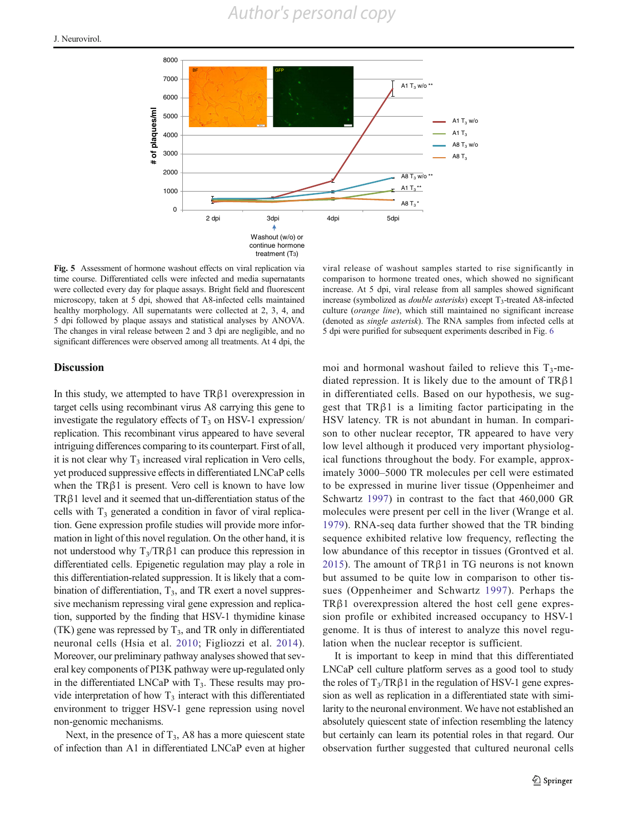<span id="page-6-0"></span>

Fig. 5 Assessment of hormone washout effects on viral replication via time course. Differentiated cells were infected and media supernatants were collected every day for plaque assays. Bright field and fluorescent microscopy, taken at 5 dpi, showed that A8-infected cells maintained healthy morphology. All supernatants were collected at 2, 3, 4, and 5 dpi followed by plaque assays and statistical analyses by ANOVA. The changes in viral release between 2 and 3 dpi are negligible, and no significant differences were observed among all treatments. At 4 dpi, the

Discussion

In this study, we attempted to have TRβ1 overexpression in target cells using recombinant virus A8 carrying this gene to investigate the regulatory effects of  $T<sub>3</sub>$  on HSV-1 expression/ replication. This recombinant virus appeared to have several intriguing differences comparing to its counterpart. First of all, it is not clear why  $T_3$  increased viral replication in Vero cells, yet produced suppressive effects in differentiated LNCaP cells when the  $TR\beta1$  is present. Vero cell is known to have low TRβ1 level and it seemed that un-differentiation status of the cells with  $T_3$  generated a condition in favor of viral replication. Gene expression profile studies will provide more information in light of this novel regulation. On the other hand, it is not understood why  $T_3/TRβ1$  can produce this repression in differentiated cells. Epigenetic regulation may play a role in this differentiation-related suppression. It is likely that a combination of differentiation,  $T_3$ , and TR exert a novel suppressive mechanism repressing viral gene expression and replication, supported by the finding that HSV-1 thymidine kinase (TK) gene was repressed by  $T_3$ , and TR only in differentiated neuronal cells (Hsia et al. [2010](#page-9-0); Figliozzi et al. [2014](#page-9-0)). Moreover, our preliminary pathway analyses showed that several key components of PI3K pathway were up-regulated only in the differentiated LNCaP with  $T_3$ . These results may provide interpretation of how  $T_3$  interact with this differentiated environment to trigger HSV-1 gene repression using novel non-genomic mechanisms.

Next, in the presence of  $T_3$ , A8 has a more quiescent state of infection than A1 in differentiated LNCaP even at higher

viral release of washout samples started to rise significantly in comparison to hormone treated ones, which showed no significant increase. At 5 dpi, viral release from all samples showed significant increase (symbolized as *double asterisks*) except  $T_3$ -treated A8-infected culture (orange line), which still maintained no significant increase (denoted as single asterisk). The RNA samples from infected cells at 5 dpi were purified for subsequent experiments described in Fig. [6](#page-7-0)

moi and hormonal washout failed to relieve this  $T_3$ -mediated repression. It is likely due to the amount of  $TR\beta1$ in differentiated cells. Based on our hypothesis, we suggest that  $TR\beta1$  is a limiting factor participating in the HSV latency. TR is not abundant in human. In comparison to other nuclear receptor, TR appeared to have very low level although it produced very important physiological functions throughout the body. For example, approximately 3000–5000 TR molecules per cell were estimated to be expressed in murine liver tissue (Oppenheimer and Schwartz [1997\)](#page-10-0) in contrast to the fact that 460,000 GR molecules were present per cell in the liver (Wrange et al. [1979\)](#page-10-0). RNA-seq data further showed that the TR binding sequence exhibited relative low frequency, reflecting the low abundance of this receptor in tissues (Grontved et al. [2015\)](#page-9-0). The amount of TR $\beta$ 1 in TG neurons is not known but assumed to be quite low in comparison to other tissues (Oppenheimer and Schwartz [1997\)](#page-10-0). Perhaps the TRβ1 overexpression altered the host cell gene expression profile or exhibited increased occupancy to HSV-1 genome. It is thus of interest to analyze this novel regulation when the nuclear receptor is sufficient.

It is important to keep in mind that this differentiated LNCaP cell culture platform serves as a good tool to study the roles of  $T_3/TR\beta1$  in the regulation of HSV-1 gene expression as well as replication in a differentiated state with similarity to the neuronal environment. We have not established an absolutely quiescent state of infection resembling the latency but certainly can learn its potential roles in that regard. Our observation further suggested that cultured neuronal cells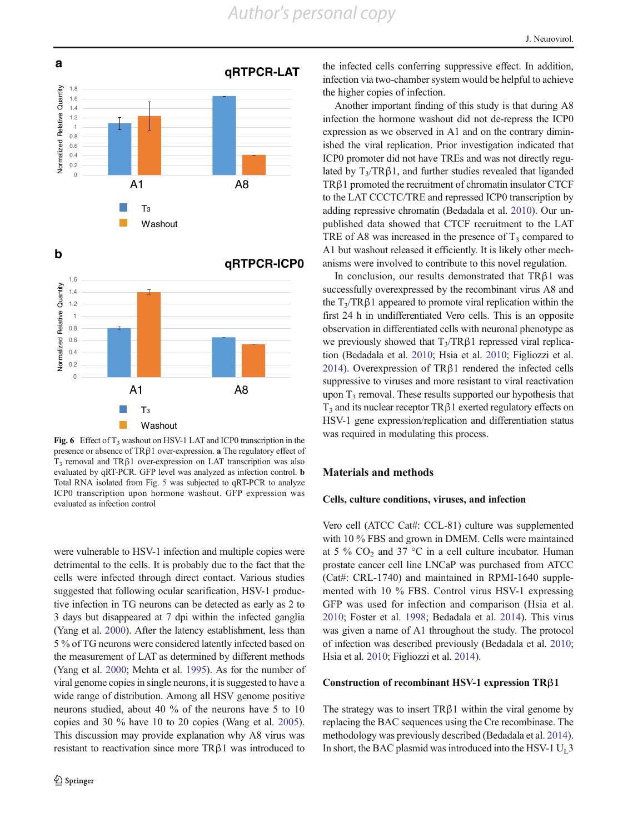<span id="page-7-0"></span>

Fig. 6 Effect of  $T_3$  washout on HSV-1 LAT and ICP0 transcription in the presence or absence of TRβ1 over-expression. a The regulatory effect of  $T<sub>3</sub>$  removal and TRβ1 over-expression on LAT transcription was also evaluated by qRT-PCR. GFP level was analyzed as infection control. b Total RNA isolated from Fig. [5](#page-6-0) was subjected to qRT-PCR to analyze ICP0 transcription upon hormone washout. GFP expression was evaluated as infection control

were vulnerable to HSV-1 infection and multiple copies were detrimental to the cells. It is probably due to the fact that the cells were infected through direct contact. Various studies suggested that following ocular scarification, HSV-1 productive infection in TG neurons can be detected as early as 2 to 3 days but disappeared at 7 dpi within the infected ganglia (Yang et al. [2000](#page-10-0)). After the latency establishment, less than 5 % of TG neurons were considered latently infected based on the measurement of LAT as determined by different methods (Yang et al. [2000;](#page-10-0) Mehta et al. [1995\)](#page-10-0). As for the number of viral genome copies in single neurons, it is suggested to have a wide range of distribution. Among all HSV genome positive neurons studied, about 40 % of the neurons have 5 to 10 copies and 30 % have 10 to 20 copies (Wang et al. [2005\)](#page-10-0). This discussion may provide explanation why A8 virus was resistant to reactivation since more TRβ1 was introduced to

the infected cells conferring suppressive effect. In addition, infection via two-chamber system would be helpful to achieve the higher copies of infection.

Another important finding of this study is that during A8 infection the hormone washout did not de-repress the ICP0 expression as we observed in A1 and on the contrary diminished the viral replication. Prior investigation indicated that ICP0 promoter did not have TREs and was not directly regulated by  $T_3/TR\beta1$ , and further studies revealed that liganded TRβ1 promoted the recruitment of chromatin insulator CTCF to the LAT CCCTC/TRE and repressed ICP0 transcription by adding repressive chromatin (Bedadala et al. [2010](#page-9-0)). Our unpublished data showed that CTCF recruitment to the LAT TRE of A8 was increased in the presence of  $T<sub>3</sub>$  compared to A1 but washout released it efficiently. It is likely other mechanisms were involved to contribute to this novel regulation.

In conclusion, our results demonstrated that TRβ1 was successfully overexpressed by the recombinant virus A8 and the  $T_3/TR\beta1$  appeared to promote viral replication within the first 24 h in undifferentiated Vero cells. This is an opposite observation in differentiated cells with neuronal phenotype as we previously showed that  $T_3/TR\beta1$  repressed viral replication (Bedadala et al. [2010](#page-9-0); Hsia et al. [2010;](#page-9-0) Figliozzi et al. [2014\)](#page-9-0). Overexpression of TRβ1 rendered the infected cells suppressive to viruses and more resistant to viral reactivation upon  $T_3$  removal. These results supported our hypothesis that  $T_3$  and its nuclear receptor TR $\beta$ 1 exerted regulatory effects on HSV-1 gene expression/replication and differentiation status was required in modulating this process.

#### Materials and methods

#### Cells, culture conditions, viruses, and infection

Vero cell (ATCC Cat#: CCL-81) culture was supplemented with 10 % FBS and grown in DMEM. Cells were maintained at 5 %  $CO<sub>2</sub>$  and 37 °C in a cell culture incubator. Human prostate cancer cell line LNCaP was purchased from ATCC (Cat#: CRL-1740) and maintained in RPMI-1640 supplemented with 10 % FBS. Control virus HSV-1 expressing GFP was used for infection and comparison (Hsia et al. [2010;](#page-9-0) Foster et al. [1998](#page-9-0); Bedadala et al. [2014](#page-9-0)). This virus was given a name of A1 throughout the study. The protocol of infection was described previously (Bedadala et al. [2010;](#page-9-0) Hsia et al. [2010;](#page-9-0) Figliozzi et al. [2014\)](#page-9-0).

#### Construction of recombinant HSV-1 expression TRβ1

The strategy was to insert  $TR\beta1$  within the viral genome by replacing the BAC sequences using the Cre recombinase. The methodology was previously described (Bedadala et al. [2014\)](#page-9-0). In short, the BAC plasmid was introduced into the HSV-1  $U_L$ 3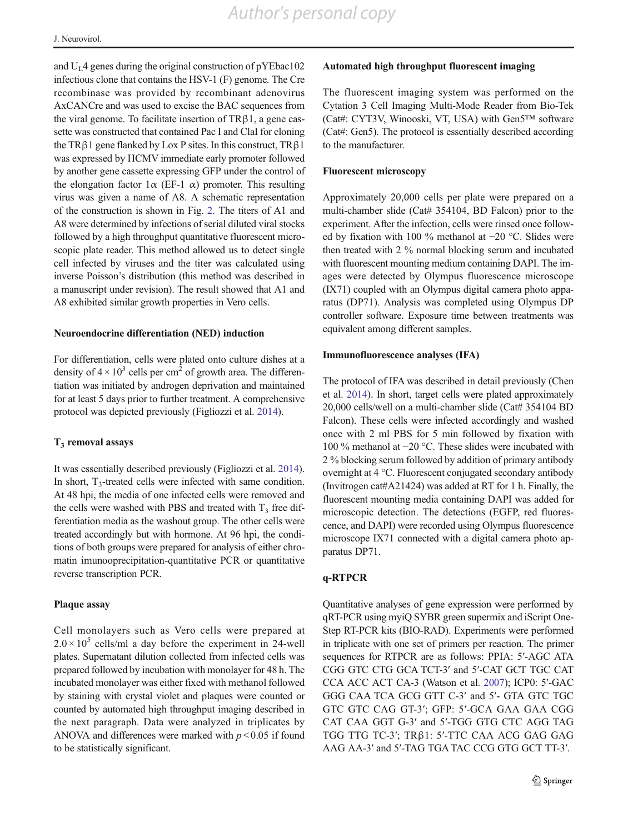and  $U<sub>I</sub>$  4 genes during the original construction of pYEbac102 infectious clone that contains the HSV-1 (F) genome. The Cre recombinase was provided by recombinant adenovirus AxCANCre and was used to excise the BAC sequences from the viral genome. To facilitate insertion of TRβ1, a gene cassette was constructed that contained Pac I and ClaI for cloning the TR $\beta$ 1 gene flanked by Lox P sites. In this construct, TR $\beta$ 1 was expressed by HCMV immediate early promoter followed by another gene cassette expressing GFP under the control of the elongation factor  $1\alpha$  (EF-1  $\alpha$ ) promoter. This resulting virus was given a name of A8. A schematic representation of the construction is shown in Fig. [2.](#page-4-0) The titers of A1 and A8 were determined by infections of serial diluted viral stocks followed by a high throughput quantitative fluorescent microscopic plate reader. This method allowed us to detect single cell infected by viruses and the titer was calculated using inverse Poisson's distribution (this method was described in a manuscript under revision). The result showed that A1 and A8 exhibited similar growth properties in Vero cells.

#### Neuroendocrine differentiation (NED) induction

For differentiation, cells were plated onto culture dishes at a density of  $4 \times 10^3$  cells per cm<sup>2</sup> of growth area. The differentiation was initiated by androgen deprivation and maintained for at least 5 days prior to further treatment. A comprehensive protocol was depicted previously (Figliozzi et al. [2014\)](#page-9-0).

#### $T<sub>3</sub>$  removal assays

It was essentially described previously (Figliozzi et al. [2014\)](#page-9-0). In short,  $T_3$ -treated cells were infected with same condition. At 48 hpi, the media of one infected cells were removed and the cells were washed with PBS and treated with  $T_3$  free differentiation media as the washout group. The other cells were treated accordingly but with hormone. At 96 hpi, the conditions of both groups were prepared for analysis of either chromatin imunooprecipitation-quantitative PCR or quantitative reverse transcription PCR.

#### Plaque assay

Cell monolayers such as Vero cells were prepared at  $2.0 \times 10^5$  cells/ml a day before the experiment in 24-well plates. Supernatant dilution collected from infected cells was prepared followed by incubation with monolayer for 48 h. The incubated monolayer was either fixed with methanol followed by staining with crystal violet and plaques were counted or counted by automated high throughput imaging described in the next paragraph. Data were analyzed in triplicates by ANOVA and differences were marked with  $p < 0.05$  if found to be statistically significant.

#### Automated high throughput fluorescent imaging

The fluorescent imaging system was performed on the Cytation 3 Cell Imaging Multi-Mode Reader from Bio-Tek (Cat#: CYT3V, Winooski, VT, USA) with Gen5™ software (Cat#: Gen5). The protocol is essentially described according to the manufacturer.

#### Fluorescent microscopy

Approximately 20,000 cells per plate were prepared on a multi-chamber slide (Cat# 354104, BD Falcon) prior to the experiment. After the infection, cells were rinsed once followed by fixation with 100 % methanol at −20 °C. Slides were then treated with 2 % normal blocking serum and incubated with fluorescent mounting medium containing DAPI. The images were detected by Olympus fluorescence microscope (IX71) coupled with an Olympus digital camera photo apparatus (DP71). Analysis was completed using Olympus DP controller software. Exposure time between treatments was equivalent among different samples.

#### Immunofluorescence analyses (IFA)

The protocol of IFA was described in detail previously (Chen et al. [2014](#page-9-0)). In short, target cells were plated approximately 20,000 cells/well on a multi-chamber slide (Cat# 354104 BD Falcon). These cells were infected accordingly and washed once with 2 ml PBS for 5 min followed by fixation with 100 % methanol at −20 °C. These slides were incubated with 2 % blocking serum followed by addition of primary antibody overnight at 4 °C. Fluorescent conjugated secondary antibody (Invitrogen cat#A21424) was added at RT for 1 h. Finally, the fluorescent mounting media containing DAPI was added for microscopic detection. The detections (EGFP, red fluorescence, and DAPI) were recorded using Olympus fluorescence microscope IX71 connected with a digital camera photo apparatus DP71.

#### q-RTPCR

Quantitative analyses of gene expression were performed by qRT-PCR using myiQ SYBR green supermix and iScript One-Step RT-PCR kits (BIO-RAD). Experiments were performed in triplicate with one set of primers per reaction. The primer sequences for RTPCR are as follows: PPIA: 5′-AGC ATA CGG GTC CTG GCA TCT-3′ and 5′-CAT GCT TGC CAT CCA ACC ACT CA-3 (Watson et al. [2007](#page-10-0)); ICP0: 5′-GAC GGG CAA TCA GCG GTT C-3′ and 5′- GTA GTC TGC GTC GTC CAG GT-3′; GFP: 5′-GCA GAA GAA CGG CAT CAA GGT G-3′ and 5′-TGG GTG CTC AGG TAG TGG TTG TC-3′; TRβ1: 5′-TTC CAA ACG GAG GAG AAG AA-3′ and 5′-TAG TGA TAC CCG GTG GCT TT-3′.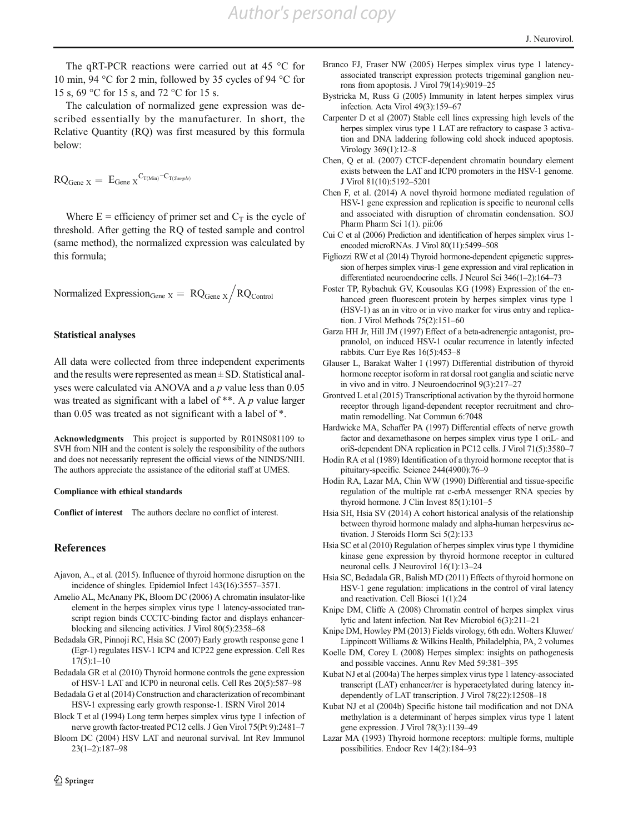<span id="page-9-0"></span>The qRT-PCR reactions were carried out at 45 °C for 10 min, 94 °C for 2 min, followed by 35 cycles of 94 °C for 15 s, 69 °C for 15 s, and 72 °C for 15 s.

The calculation of normalized gene expression was described essentially by the manufacturer. In short, the Relative Quantity (RQ) was first measured by this formula below:

$$
RQ_{\text{Gene } X} = E_{\text{Gene } X}^{C_{T(\text{Min})} - C_{T(\text{Sample})}}
$$

Where  $E =$  efficiency of primer set and  $C_T$  is the cycle of threshold. After getting the RQ of tested sample and control (same method), the normalized expression was calculated by this formula;

Normalized Expression<sub>Gene</sub>  $x = RQ<sub>Gene X</sub> / RQ<sub>Control</sub>$ 

#### Statistical analyses

All data were collected from three independent experiments and the results were represented as mean ± SD. Statistical analyses were calculated via ANOVA and a p value less than 0.05 was treated as significant with a label of \*\*. A p value larger than 0.05 was treated as not significant with a label of \*.

Acknowledgments This project is supported by R01NS081109 to SVH from NIH and the content is solely the responsibility of the authors and does not necessarily represent the official views of the NINDS/NIH. The authors appreciate the assistance of the editorial staff at UMES.

#### Compliance with ethical standards

Conflict of interest The authors declare no conflict of interest.

#### References

- Ajavon, A., et al. (2015). Influence of thyroid hormone disruption on the incidence of shingles. Epidemiol Infect 143(16):3557–3571.
- Amelio AL, McAnany PK, Bloom DC (2006) A chromatin insulator-like element in the herpes simplex virus type 1 latency-associated transcript region binds CCCTC-binding factor and displays enhancerblocking and silencing activities. J Virol 80(5):2358–68
- Bedadala GR, Pinnoji RC, Hsia SC (2007) Early growth response gene 1 (Egr-1) regulates HSV-1 ICP4 and ICP22 gene expression. Cell Res 17(5):1–10
- Bedadala GR et al (2010) Thyroid hormone controls the gene expression of HSV-1 LAT and ICP0 in neuronal cells. Cell Res 20(5):587–98
- Bedadala G et al (2014) Construction and characterization of recombinant HSV-1 expressing early growth response-1. ISRN Virol 2014
- Block T et al (1994) Long term herpes simplex virus type 1 infection of nerve growth factor-treated PC12 cells. J Gen Virol 75(Pt 9):2481–7
- Bloom DC (2004) HSV LAT and neuronal survival. Int Rev Immunol 23(1–2):187–98
- Branco FJ, Fraser NW (2005) Herpes simplex virus type 1 latencyassociated transcript expression protects trigeminal ganglion neurons from apoptosis. J Virol 79(14):9019–25
- Bystricka M, Russ G (2005) Immunity in latent herpes simplex virus infection. Acta Virol 49(3):159–67
- Carpenter D et al (2007) Stable cell lines expressing high levels of the herpes simplex virus type 1 LAT are refractory to caspase 3 activation and DNA laddering following cold shock induced apoptosis. Virology 369(1):12–8
- Chen, Q et al. (2007) CTCF-dependent chromatin boundary element exists between the LAT and ICP0 promoters in the HSV-1 genome. J Virol 81(10):5192–5201
- Chen F, et al. (2014) A novel thyroid hormone mediated regulation of HSV-1 gene expression and replication is specific to neuronal cells and associated with disruption of chromatin condensation. SOJ Pharm Pharm Sci 1(1). pii:06
- Cui C et al (2006) Prediction and identification of herpes simplex virus 1 encoded microRNAs. J Virol 80(11):5499–508
- Figliozzi RW et al (2014) Thyroid hormone-dependent epigenetic suppression of herpes simplex virus-1 gene expression and viral replication in differentiated neuroendocrine cells. J Neurol Sci 346(1–2):164–73
- Foster TP, Rybachuk GV, Kousoulas KG (1998) Expression of the enhanced green fluorescent protein by herpes simplex virus type 1 (HSV-1) as an in vitro or in vivo marker for virus entry and replication. J Virol Methods 75(2):151–60
- Garza HH Jr, Hill JM (1997) Effect of a beta-adrenergic antagonist, propranolol, on induced HSV-1 ocular recurrence in latently infected rabbits. Curr Eye Res 16(5):453–8
- Glauser L, Barakat Walter I (1997) Differential distribution of thyroid hormone receptor isoform in rat dorsal root ganglia and sciatic nerve in vivo and in vitro. J Neuroendocrinol 9(3):217–27
- Grontved L et al (2015) Transcriptional activation by the thyroid hormone receptor through ligand-dependent receptor recruitment and chromatin remodelling. Nat Commun 6:7048
- Hardwicke MA, Schaffer PA (1997) Differential effects of nerve growth factor and dexamethasone on herpes simplex virus type 1 oriL- and oriS-dependent DNA replication in PC12 cells. J Virol 71(5):3580–7
- Hodin RA et al (1989) Identification of a thyroid hormone receptor that is pituitary-specific. Science 244(4900):76–9
- Hodin RA, Lazar MA, Chin WW (1990) Differential and tissue-specific regulation of the multiple rat c-erbA messenger RNA species by thyroid hormone. J Clin Invest 85(1):101–5
- Hsia SH, Hsia SV (2014) A cohort historical analysis of the relationship between thyroid hormone malady and alpha-human herpesvirus activation. J Steroids Horm Sci 5(2):133
- Hsia SC et al (2010) Regulation of herpes simplex virus type 1 thymidine kinase gene expression by thyroid hormone receptor in cultured neuronal cells. J Neurovirol 16(1):13–24
- Hsia SC, Bedadala GR, Balish MD (2011) Effects of thyroid hormone on HSV-1 gene regulation: implications in the control of viral latency and reactivation. Cell Biosci 1(1):24
- Knipe DM, Cliffe A (2008) Chromatin control of herpes simplex virus lytic and latent infection. Nat Rev Microbiol 6(3):211–21
- Knipe DM, Howley PM (2013) Fields virology, 6th edn. Wolters Kluwer/ Lippincott Williams & Wilkins Health, Philadelphia, PA, 2 volumes
- Koelle DM, Corey L (2008) Herpes simplex: insights on pathogenesis and possible vaccines. Annu Rev Med 59:381–395
- Kubat NJ et al (2004a) The herpes simplex virus type 1 latency-associated transcript (LAT) enhancer/rcr is hyperacetylated during latency independently of LAT transcription. J Virol 78(22):12508–18
- Kubat NJ et al (2004b) Specific histone tail modification and not DNA methylation is a determinant of herpes simplex virus type 1 latent gene expression. J Virol 78(3):1139–49
- Lazar MA (1993) Thyroid hormone receptors: multiple forms, multiple possibilities. Endocr Rev 14(2):184–93